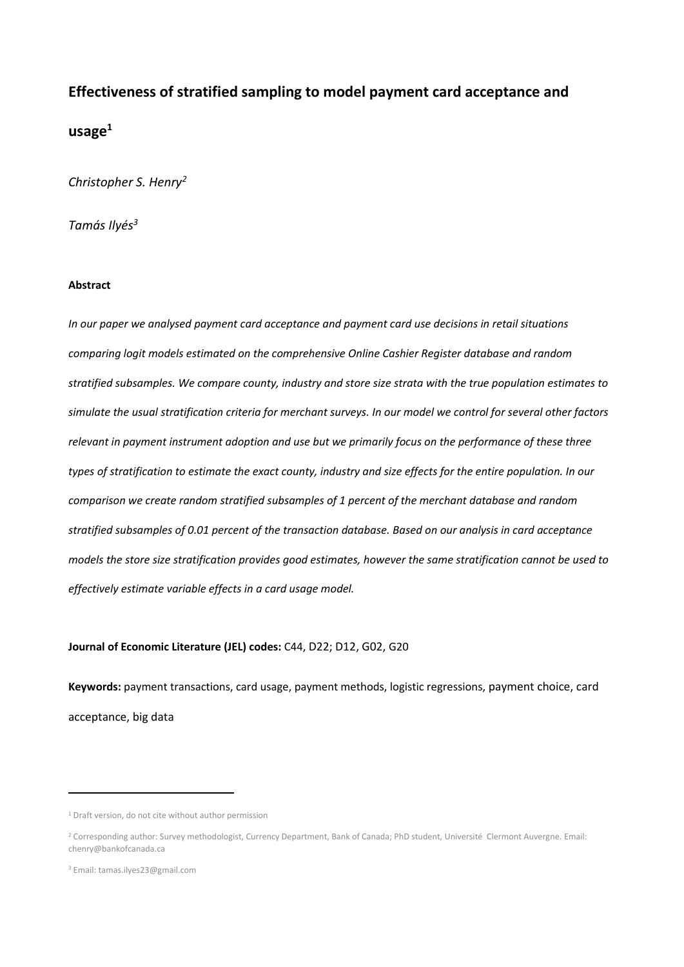# **Effectiveness of stratified sampling to model payment card acceptance and**

## **usage<sup>1</sup>**

*Christopher S. Henry<sup>2</sup>*

*Tamás Ilyés<sup>3</sup>*

## **Abstract**

*In our paper we analysed payment card acceptance and payment card use decisions in retail situations comparing logit models estimated on the comprehensive Online Cashier Register database and random stratified subsamples. We compare county, industry and store size strata with the true population estimates to simulate the usual stratification criteria for merchant surveys. In our model we control for several other factors relevant in payment instrument adoption and use but we primarily focus on the performance of these three types of stratification to estimate the exact county, industry and size effects for the entire population. In our comparison we create random stratified subsamples of 1 percent of the merchant database and random stratified subsamples of 0.01 percent of the transaction database. Based on our analysis in card acceptance models the store size stratification provides good estimates, however the same stratification cannot be used to effectively estimate variable effects in a card usage model.*

## **Journal of Economic Literature (JEL) codes:** C44, D22; D12, G02, G20

**Keywords:** payment transactions, card usage, payment methods, logistic regressions, payment choice, card acceptance, big data

 $\overline{a}$ 

<sup>&</sup>lt;sup>1</sup> Draft version, do not cite without author permission

<sup>&</sup>lt;sup>2</sup> Corresponding author: Survey methodologist, Currency Department, Bank of Canada; PhD student, Université Clermont Auvergne. Email: chenry@bankofcanada.ca

<sup>3</sup> Email: tamas.ilyes23@gmail.com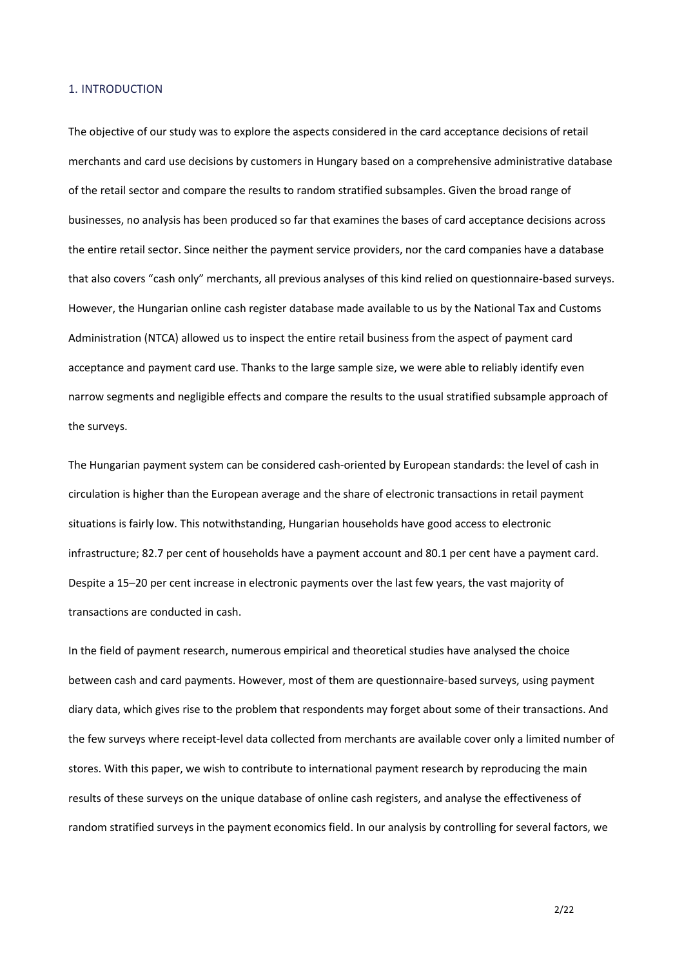## 1. INTRODUCTION

The objective of our study was to explore the aspects considered in the card acceptance decisions of retail merchants and card use decisions by customers in Hungary based on a comprehensive administrative database of the retail sector and compare the results to random stratified subsamples. Given the broad range of businesses, no analysis has been produced so far that examines the bases of card acceptance decisions across the entire retail sector. Since neither the payment service providers, nor the card companies have a database that also covers "cash only" merchants, all previous analyses of this kind relied on questionnaire-based surveys. However, the Hungarian online cash register database made available to us by the National Tax and Customs Administration (NTCA) allowed us to inspect the entire retail business from the aspect of payment card acceptance and payment card use. Thanks to the large sample size, we were able to reliably identify even narrow segments and negligible effects and compare the results to the usual stratified subsample approach of the surveys.

The Hungarian payment system can be considered cash-oriented by European standards: the level of cash in circulation is higher than the European average and the share of electronic transactions in retail payment situations is fairly low. This notwithstanding, Hungarian households have good access to electronic infrastructure; 82.7 per cent of households have a payment account and 80.1 per cent have a payment card. Despite a 15–20 per cent increase in electronic payments over the last few years, the vast majority of transactions are conducted in cash.

In the field of payment research, numerous empirical and theoretical studies have analysed the choice between cash and card payments. However, most of them are questionnaire-based surveys, using payment diary data, which gives rise to the problem that respondents may forget about some of their transactions. And the few surveys where receipt-level data collected from merchants are available cover only a limited number of stores. With this paper, we wish to contribute to international payment research by reproducing the main results of these surveys on the unique database of online cash registers, and analyse the effectiveness of random stratified surveys in the payment economics field. In our analysis by controlling for several factors, we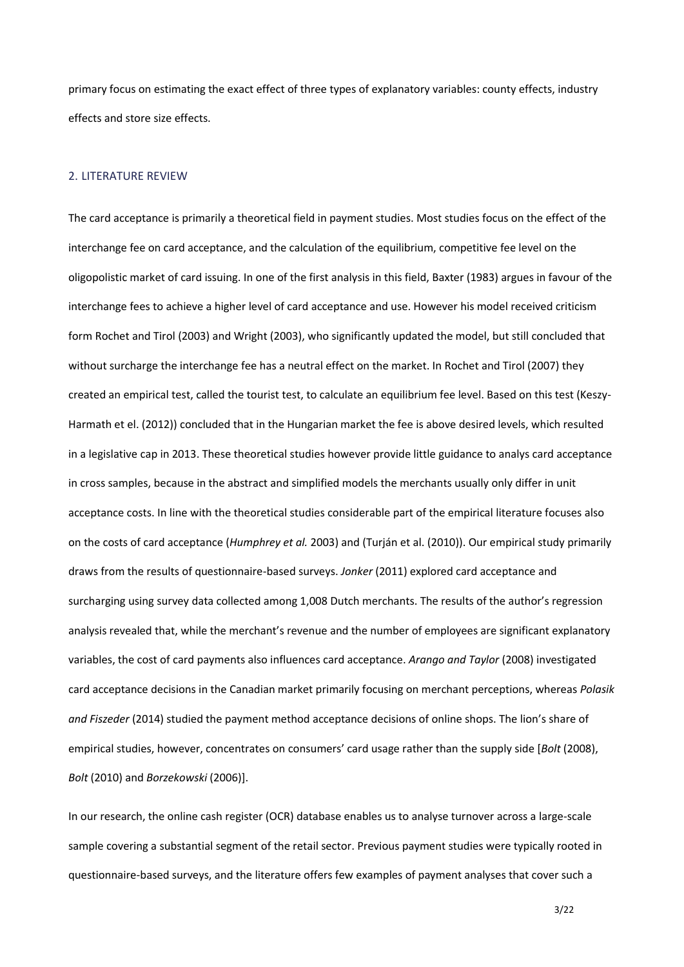primary focus on estimating the exact effect of three types of explanatory variables: county effects, industry effects and store size effects.

## 2. LITERATURE REVIEW

The card acceptance is primarily a theoretical field in payment studies. Most studies focus on the effect of the interchange fee on card acceptance, and the calculation of the equilibrium, competitive fee level on the oligopolistic market of card issuing. In one of the first analysis in this field, Baxter (1983) argues in favour of the interchange fees to achieve a higher level of card acceptance and use. However his model received criticism form Rochet and Tirol (2003) and Wright (2003), who significantly updated the model, but still concluded that without surcharge the interchange fee has a neutral effect on the market. In Rochet and Tirol (2007) they created an empirical test, called the tourist test, to calculate an equilibrium fee level. Based on this test (Keszy-Harmath et el. (2012)) concluded that in the Hungarian market the fee is above desired levels, which resulted in a legislative cap in 2013. These theoretical studies however provide little guidance to analys card acceptance in cross samples, because in the abstract and simplified models the merchants usually only differ in unit acceptance costs. In line with the theoretical studies considerable part of the empirical literature focuses also on the costs of card acceptance (*Humphrey et al.* 2003) and (Turján et al. (2010)). Our empirical study primarily draws from the results of questionnaire-based surveys. *Jonker* (2011) explored card acceptance and surcharging using survey data collected among 1,008 Dutch merchants. The results of the author's regression analysis revealed that, while the merchant's revenue and the number of employees are significant explanatory variables, the cost of card payments also influences card acceptance. *Arango and Taylor* (2008) investigated card acceptance decisions in the Canadian market primarily focusing on merchant perceptions, whereas *Polasik and Fiszeder* (2014) studied the payment method acceptance decisions of online shops. The lion's share of empirical studies, however, concentrates on consumers' card usage rather than the supply side [*Bolt* (2008), *Bolt* (2010) and *Borzekowski* (2006)].

In our research, the online cash register (OCR) database enables us to analyse turnover across a large-scale sample covering a substantial segment of the retail sector. Previous payment studies were typically rooted in questionnaire-based surveys, and the literature offers few examples of payment analyses that cover such a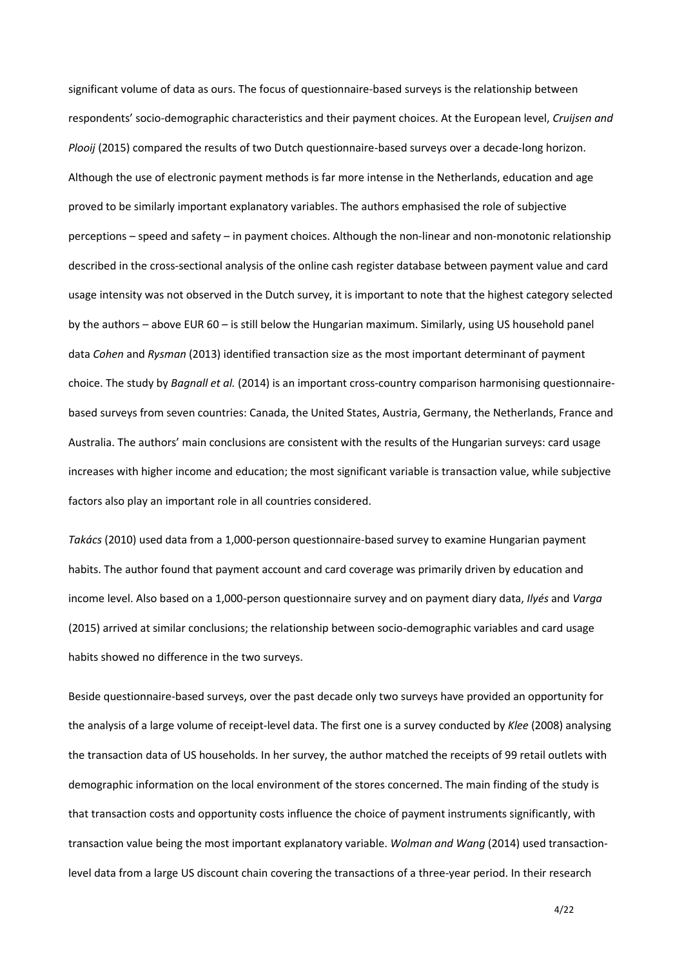significant volume of data as ours. The focus of questionnaire-based surveys is the relationship between respondents' socio-demographic characteristics and their payment choices. At the European level, *Cruijsen and Plooij* (2015) compared the results of two Dutch questionnaire-based surveys over a decade-long horizon. Although the use of electronic payment methods is far more intense in the Netherlands, education and age proved to be similarly important explanatory variables. The authors emphasised the role of subjective perceptions – speed and safety – in payment choices. Although the non-linear and non-monotonic relationship described in the cross-sectional analysis of the online cash register database between payment value and card usage intensity was not observed in the Dutch survey, it is important to note that the highest category selected by the authors – above EUR 60 – is still below the Hungarian maximum. Similarly, using US household panel data *Cohen* and *Rysman* (2013) identified transaction size as the most important determinant of payment choice. The study by *Bagnall et al.* (2014) is an important cross-country comparison harmonising questionnairebased surveys from seven countries: Canada, the United States, Austria, Germany, the Netherlands, France and Australia. The authors' main conclusions are consistent with the results of the Hungarian surveys: card usage increases with higher income and education; the most significant variable is transaction value, while subjective factors also play an important role in all countries considered.

*Takács* (2010) used data from a 1,000-person questionnaire-based survey to examine Hungarian payment habits. The author found that payment account and card coverage was primarily driven by education and income level. Also based on a 1,000-person questionnaire survey and on payment diary data, *Ilyés* and *Varga*  (2015) arrived at similar conclusions; the relationship between socio-demographic variables and card usage habits showed no difference in the two surveys.

Beside questionnaire-based surveys, over the past decade only two surveys have provided an opportunity for the analysis of a large volume of receipt-level data. The first one is a survey conducted by *Klee* (2008) analysing the transaction data of US households. In her survey, the author matched the receipts of 99 retail outlets with demographic information on the local environment of the stores concerned. The main finding of the study is that transaction costs and opportunity costs influence the choice of payment instruments significantly, with transaction value being the most important explanatory variable. *Wolman and Wang* (2014) used transactionlevel data from a large US discount chain covering the transactions of a three-year period. In their research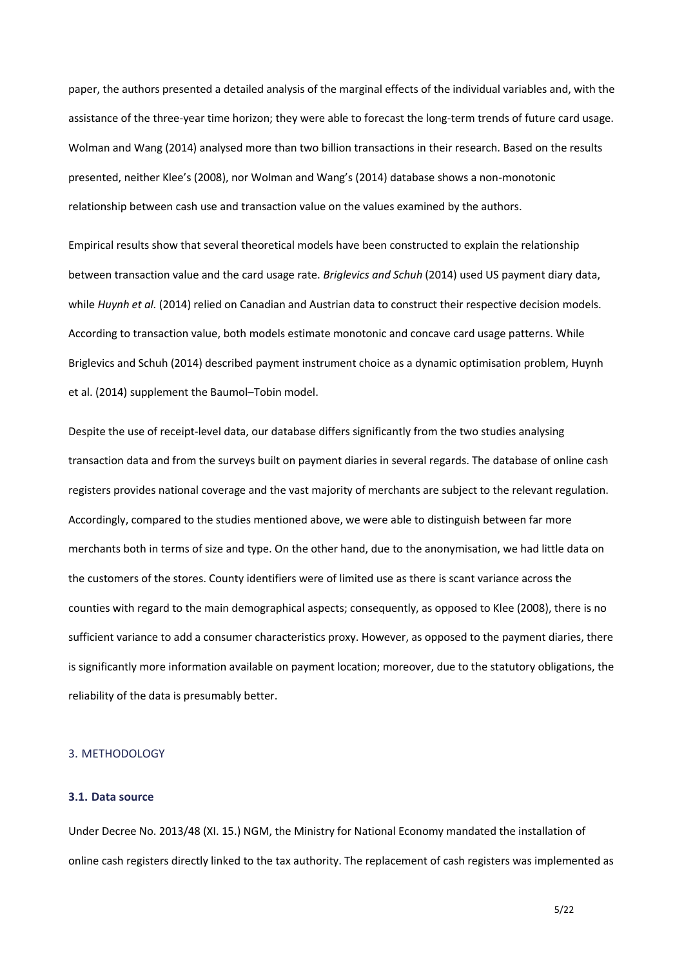paper, the authors presented a detailed analysis of the marginal effects of the individual variables and, with the assistance of the three-year time horizon; they were able to forecast the long-term trends of future card usage. Wolman and Wang (2014) analysed more than two billion transactions in their research. Based on the results presented, neither Klee's (2008), nor Wolman and Wang's (2014) database shows a non-monotonic relationship between cash use and transaction value on the values examined by the authors.

Empirical results show that several theoretical models have been constructed to explain the relationship between transaction value and the card usage rate. *Briglevics and Schuh* (2014) used US payment diary data, while *Huynh et al.* (2014) relied on Canadian and Austrian data to construct their respective decision models. According to transaction value, both models estimate monotonic and concave card usage patterns. While Briglevics and Schuh (2014) described payment instrument choice as a dynamic optimisation problem, Huynh et al. (2014) supplement the Baumol–Tobin model.

Despite the use of receipt-level data, our database differs significantly from the two studies analysing transaction data and from the surveys built on payment diaries in several regards. The database of online cash registers provides national coverage and the vast majority of merchants are subject to the relevant regulation. Accordingly, compared to the studies mentioned above, we were able to distinguish between far more merchants both in terms of size and type. On the other hand, due to the anonymisation, we had little data on the customers of the stores. County identifiers were of limited use as there is scant variance across the counties with regard to the main demographical aspects; consequently, as opposed to Klee (2008), there is no sufficient variance to add a consumer characteristics proxy. However, as opposed to the payment diaries, there is significantly more information available on payment location; moreover, due to the statutory obligations, the reliability of the data is presumably better.

## 3. METHODOLOGY

## **3.1. Data source**

Under Decree No. 2013/48 (XI. 15.) NGM, the Ministry for National Economy mandated the installation of online cash registers directly linked to the tax authority. The replacement of cash registers was implemented as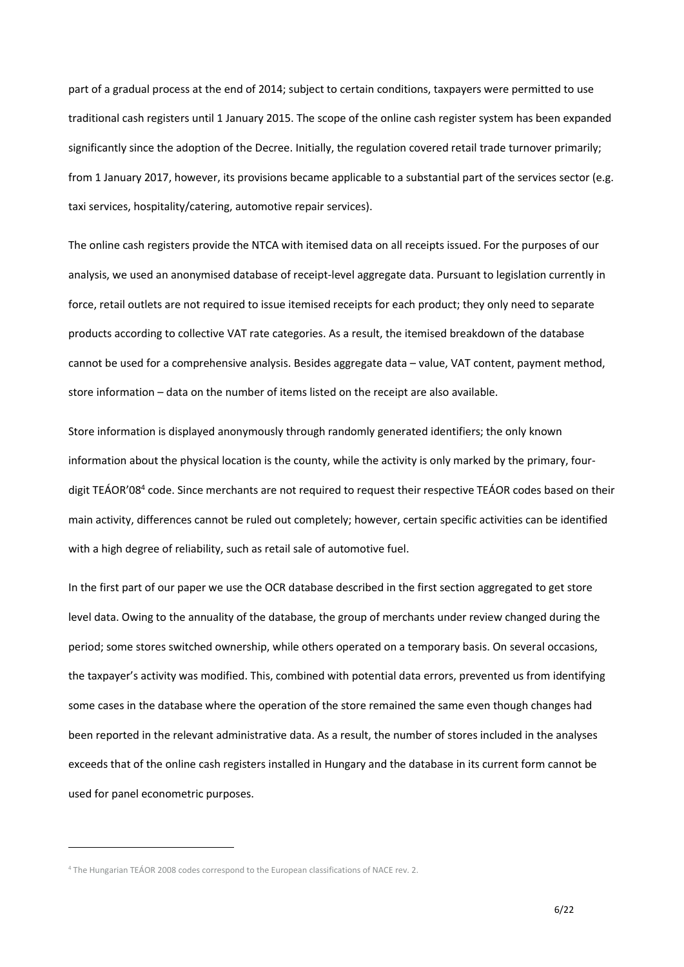part of a gradual process at the end of 2014; subject to certain conditions, taxpayers were permitted to use traditional cash registers until 1 January 2015. The scope of the online cash register system has been expanded significantly since the adoption of the Decree. Initially, the regulation covered retail trade turnover primarily; from 1 January 2017, however, its provisions became applicable to a substantial part of the services sector (e.g. taxi services, hospitality/catering, automotive repair services).

The online cash registers provide the NTCA with itemised data on all receipts issued. For the purposes of our analysis, we used an anonymised database of receipt-level aggregate data. Pursuant to legislation currently in force, retail outlets are not required to issue itemised receipts for each product; they only need to separate products according to collective VAT rate categories. As a result, the itemised breakdown of the database cannot be used for a comprehensive analysis. Besides aggregate data – value, VAT content, payment method, store information – data on the number of items listed on the receipt are also available.

Store information is displayed anonymously through randomly generated identifiers; the only known information about the physical location is the county, while the activity is only marked by the primary, fourdigit TEÁOR'08<sup>4</sup> code. Since merchants are not required to request their respective TEÁOR codes based on their main activity, differences cannot be ruled out completely; however, certain specific activities can be identified with a high degree of reliability, such as retail sale of automotive fuel.

In the first part of our paper we use the OCR database described in the first section aggregated to get store level data. Owing to the annuality of the database, the group of merchants under review changed during the period; some stores switched ownership, while others operated on a temporary basis. On several occasions, the taxpayer's activity was modified. This, combined with potential data errors, prevented us from identifying some cases in the database where the operation of the store remained the same even though changes had been reported in the relevant administrative data. As a result, the number of stores included in the analyses exceeds that of the online cash registers installed in Hungary and the database in its current form cannot be used for panel econometric purposes.

 $\overline{a}$ 

<sup>&</sup>lt;sup>4</sup> The Hungarian TEÁOR 2008 codes correspond to the European classifications of NACE rev. 2.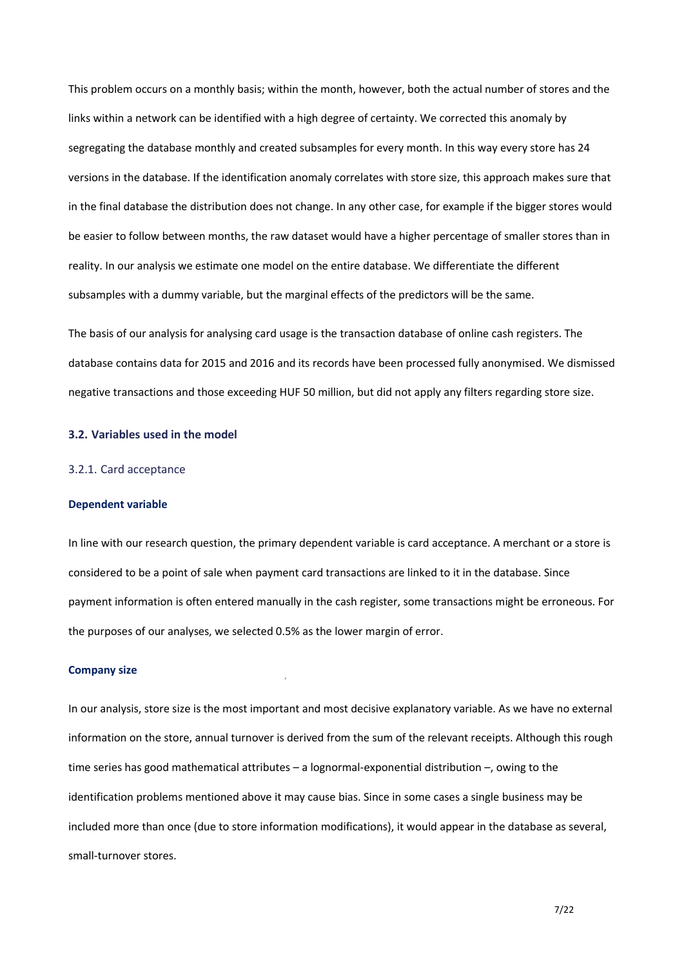This problem occurs on a monthly basis; within the month, however, both the actual number of stores and the links within a network can be identified with a high degree of certainty. We corrected this anomaly by segregating the database monthly and created subsamples for every month. In this way every store has 24 versions in the database. If the identification anomaly correlates with store size, this approach makes sure that in the final database the distribution does not change. In any other case, for example if the bigger stores would be easier to follow between months, the raw dataset would have a higher percentage of smaller stores than in reality. In our analysis we estimate one model on the entire database. We differentiate the different subsamples with a dummy variable, but the marginal effects of the predictors will be the same.

The basis of our analysis for analysing card usage is the transaction database of online cash registers. The database contains data for 2015 and 2016 and its records have been processed fully anonymised. We dismissed negative transactions and those exceeding HUF 50 million, but did not apply any filters regarding store size.

#### **3.2. Variables used in the model**

#### 3.2.1. Card acceptance

#### **Dependent variable**

In line with our research question, the primary dependent variable is card acceptance. A merchant or a store is considered to be a point of sale when payment card transactions are linked to it in the database. Since payment information is often entered manually in the cash register, some transactions might be erroneous. For the purposes of our analyses, we selected 0.5% as the lower margin of error.

#### **Company size**

In our analysis, store size is the most important and most decisive explanatory variable. As we have no external information on the store, annual turnover is derived from the sum of the relevant receipts. Although this rough time series has good mathematical attributes – a lognormal-exponential distribution –, owing to the identification problems mentioned above it may cause bias. Since in some cases a single business may be included more than once (due to store information modifications), it would appear in the database as several, small-turnover stores.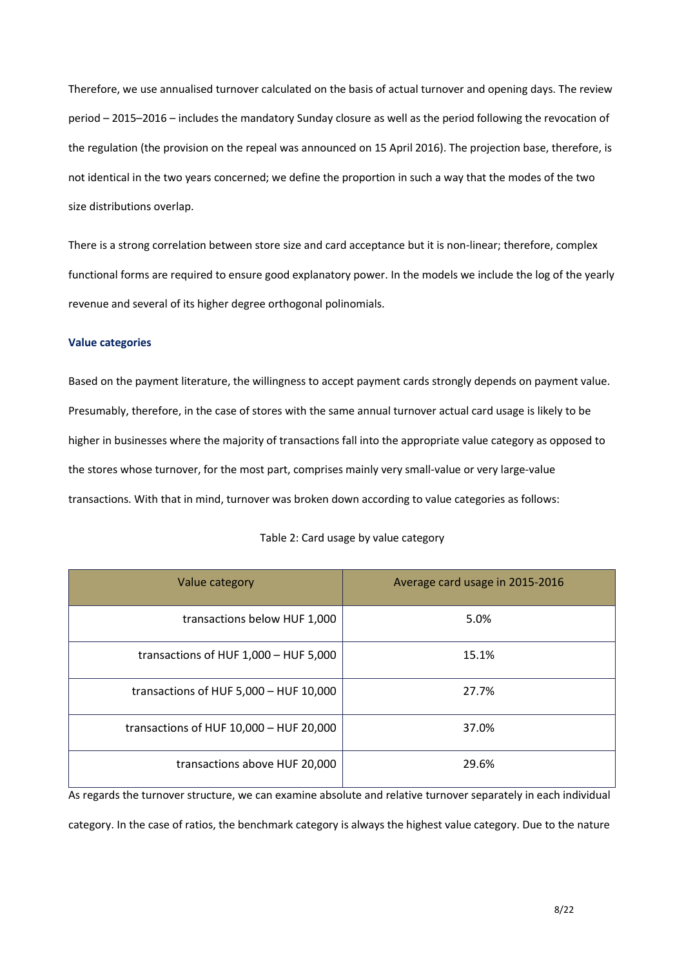Therefore, we use annualised turnover calculated on the basis of actual turnover and opening days. The review period – 2015–2016 – includes the mandatory Sunday closure as well as the period following the revocation of the regulation (the provision on the repeal was announced on 15 April 2016). The projection base, therefore, is not identical in the two years concerned; we define the proportion in such a way that the modes of the two size distributions overlap.

There is a strong correlation between store size and card acceptance but it is non-linear; therefore, complex functional forms are required to ensure good explanatory power. In the models we include the log of the yearly revenue and several of its higher degree orthogonal polinomials.

#### **Value categories**

Based on the payment literature, the willingness to accept payment cards strongly depends on payment value. Presumably, therefore, in the case of stores with the same annual turnover actual card usage is likely to be higher in businesses where the majority of transactions fall into the appropriate value category as opposed to the stores whose turnover, for the most part, comprises mainly very small-value or very large-value transactions. With that in mind, turnover was broken down according to value categories as follows:

| Value category                           | Average card usage in 2015-2016 |
|------------------------------------------|---------------------------------|
| transactions below HUF 1,000             | 5.0%                            |
| transactions of HUF 1,000 - HUF 5,000    | 15.1%                           |
| transactions of HUF $5,000 - HUF 10,000$ | 27.7%                           |
| transactions of HUF 10,000 - HUF 20,000  | 37.0%                           |
| transactions above HUF 20,000            | 29.6%                           |

#### Table 2: Card usage by value category

As regards the turnover structure, we can examine absolute and relative turnover separately in each individual category. In the case of ratios, the benchmark category is always the highest value category. Due to the nature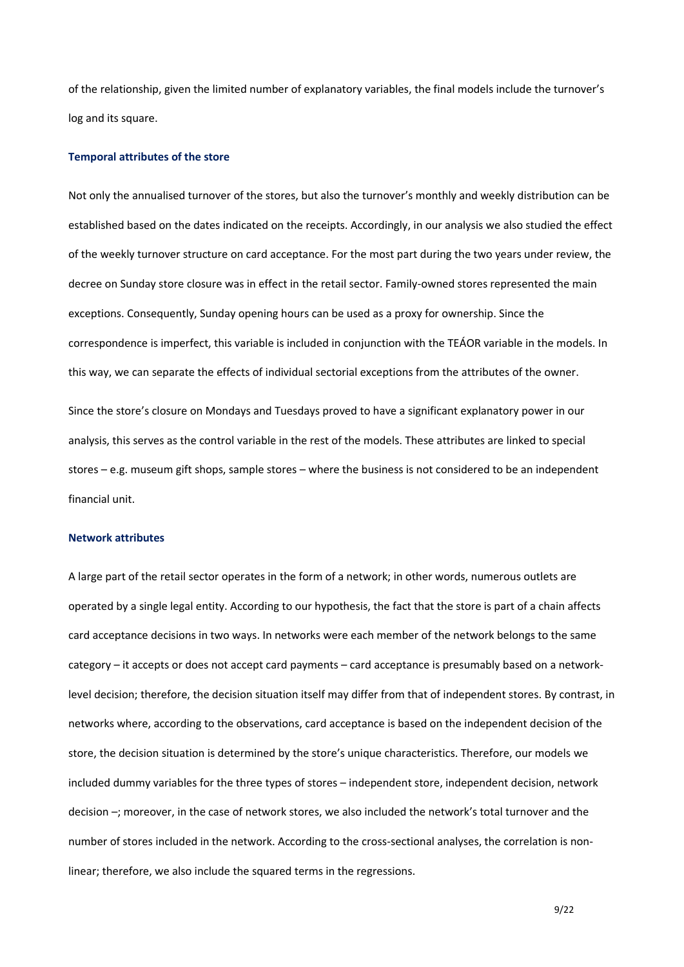of the relationship, given the limited number of explanatory variables, the final models include the turnover's log and its square.

## **Temporal attributes of the store**

Not only the annualised turnover of the stores, but also the turnover's monthly and weekly distribution can be established based on the dates indicated on the receipts. Accordingly, in our analysis we also studied the effect of the weekly turnover structure on card acceptance. For the most part during the two years under review, the decree on Sunday store closure was in effect in the retail sector. Family-owned stores represented the main exceptions. Consequently, Sunday opening hours can be used as a proxy for ownership. Since the correspondence is imperfect, this variable is included in conjunction with the TEÁOR variable in the models. In this way, we can separate the effects of individual sectorial exceptions from the attributes of the owner.

Since the store's closure on Mondays and Tuesdays proved to have a significant explanatory power in our analysis, this serves as the control variable in the rest of the models. These attributes are linked to special stores – e.g. museum gift shops, sample stores – where the business is not considered to be an independent financial unit.

#### **Network attributes**

A large part of the retail sector operates in the form of a network; in other words, numerous outlets are operated by a single legal entity. According to our hypothesis, the fact that the store is part of a chain affects card acceptance decisions in two ways. In networks were each member of the network belongs to the same category – it accepts or does not accept card payments – card acceptance is presumably based on a networklevel decision; therefore, the decision situation itself may differ from that of independent stores. By contrast, in networks where, according to the observations, card acceptance is based on the independent decision of the store, the decision situation is determined by the store's unique characteristics. Therefore, our models we included dummy variables for the three types of stores – independent store, independent decision, network decision –; moreover, in the case of network stores, we also included the network's total turnover and the number of stores included in the network. According to the cross-sectional analyses, the correlation is nonlinear; therefore, we also include the squared terms in the regressions.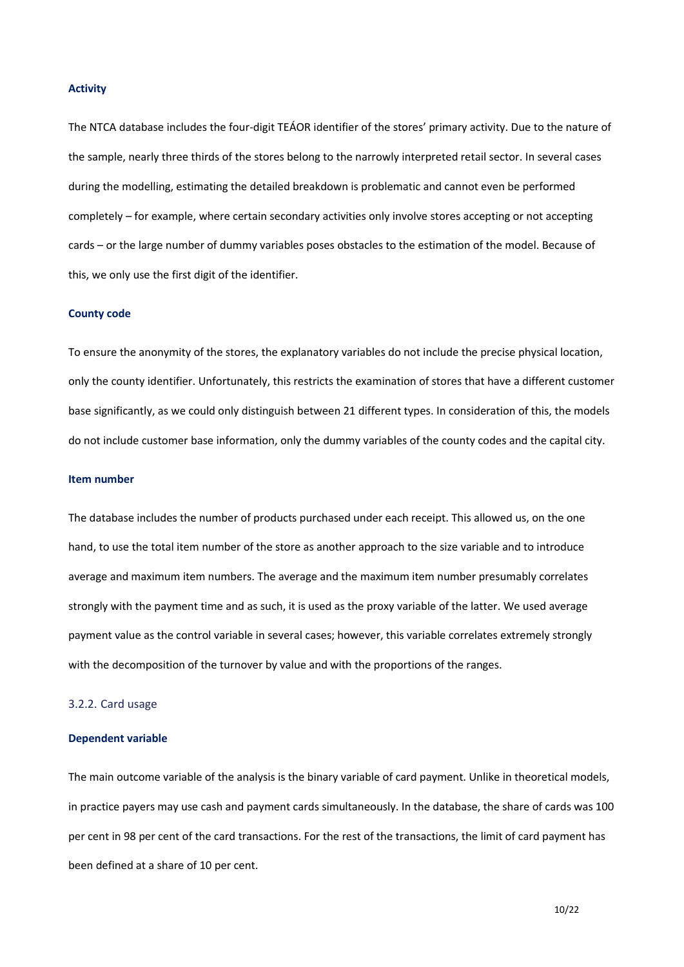#### **Activity**

The NTCA database includes the four-digit TEÁOR identifier of the stores' primary activity. Due to the nature of the sample, nearly three thirds of the stores belong to the narrowly interpreted retail sector. In several cases during the modelling, estimating the detailed breakdown is problematic and cannot even be performed completely – for example, where certain secondary activities only involve stores accepting or not accepting cards – or the large number of dummy variables poses obstacles to the estimation of the model. Because of this, we only use the first digit of the identifier.

#### **County code**

To ensure the anonymity of the stores, the explanatory variables do not include the precise physical location, only the county identifier. Unfortunately, this restricts the examination of stores that have a different customer base significantly, as we could only distinguish between 21 different types. In consideration of this, the models do not include customer base information, only the dummy variables of the county codes and the capital city.

#### **Item number**

The database includes the number of products purchased under each receipt. This allowed us, on the one hand, to use the total item number of the store as another approach to the size variable and to introduce average and maximum item numbers. The average and the maximum item number presumably correlates strongly with the payment time and as such, it is used as the proxy variable of the latter. We used average payment value as the control variable in several cases; however, this variable correlates extremely strongly with the decomposition of the turnover by value and with the proportions of the ranges.

## 3.2.2. Card usage

#### **Dependent variable**

The main outcome variable of the analysis is the binary variable of card payment. Unlike in theoretical models, in practice payers may use cash and payment cards simultaneously. In the database, the share of cards was 100 per cent in 98 per cent of the card transactions. For the rest of the transactions, the limit of card payment has been defined at a share of 10 per cent.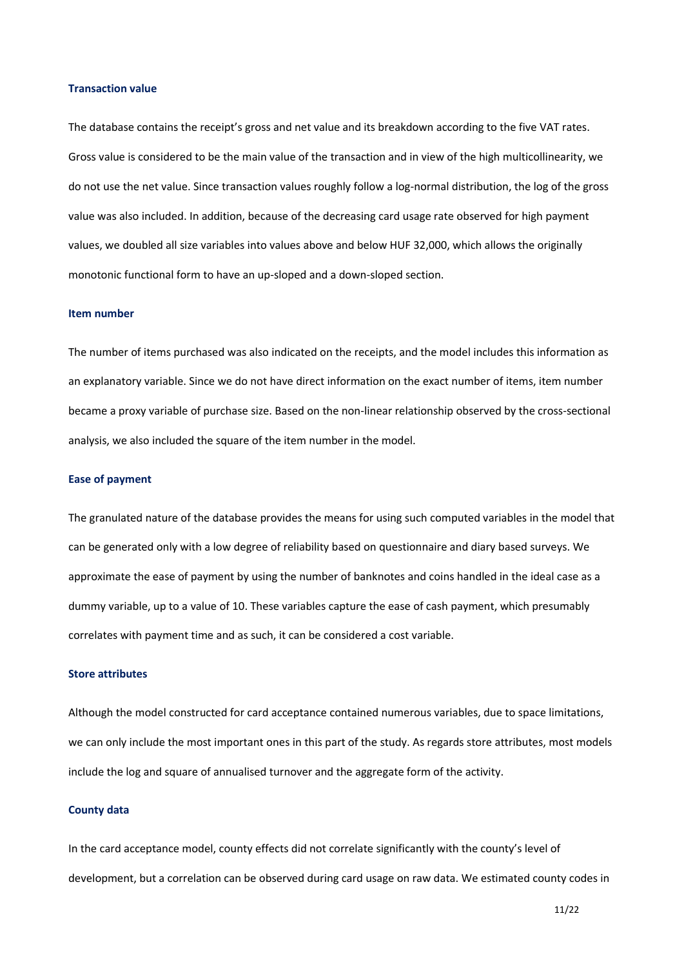## **Transaction value**

The database contains the receipt's gross and net value and its breakdown according to the five VAT rates. Gross value is considered to be the main value of the transaction and in view of the high multicollinearity, we do not use the net value. Since transaction values roughly follow a log-normal distribution, the log of the gross value was also included. In addition, because of the decreasing card usage rate observed for high payment values, we doubled all size variables into values above and below HUF 32,000, which allows the originally monotonic functional form to have an up-sloped and a down-sloped section.

#### **Item number**

The number of items purchased was also indicated on the receipts, and the model includes this information as an explanatory variable. Since we do not have direct information on the exact number of items, item number became a proxy variable of purchase size. Based on the non-linear relationship observed by the cross-sectional analysis, we also included the square of the item number in the model.

#### **Ease of payment**

The granulated nature of the database provides the means for using such computed variables in the model that can be generated only with a low degree of reliability based on questionnaire and diary based surveys. We approximate the ease of payment by using the number of banknotes and coins handled in the ideal case as a dummy variable, up to a value of 10. These variables capture the ease of cash payment, which presumably correlates with payment time and as such, it can be considered a cost variable.

#### **Store attributes**

Although the model constructed for card acceptance contained numerous variables, due to space limitations, we can only include the most important ones in this part of the study. As regards store attributes, most models include the log and square of annualised turnover and the aggregate form of the activity.

## **County data**

In the card acceptance model, county effects did not correlate significantly with the county's level of development, but a correlation can be observed during card usage on raw data. We estimated county codes in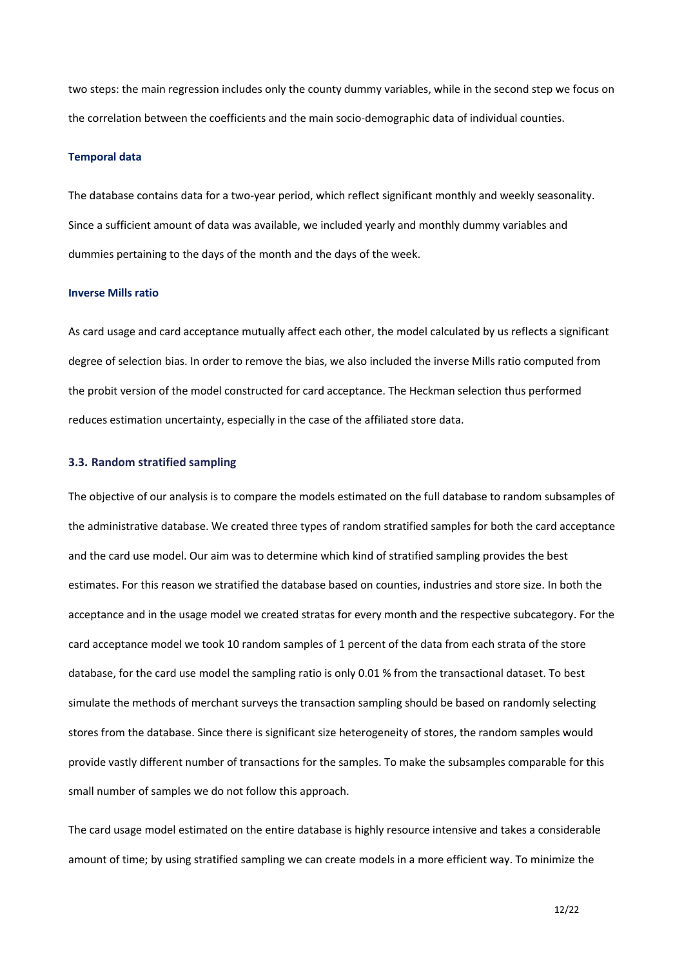two steps: the main regression includes only the county dummy variables, while in the second step we focus on the correlation between the coefficients and the main socio-demographic data of individual counties.

## **Temporal data**

The database contains data for a two-year period, which reflect significant monthly and weekly seasonality. Since a sufficient amount of data was available, we included yearly and monthly dummy variables and dummies pertaining to the days of the month and the days of the week.

#### **Inverse Mills ratio**

As card usage and card acceptance mutually affect each other, the model calculated by us reflects a significant degree of selection bias. In order to remove the bias, we also included the inverse Mills ratio computed from the probit version of the model constructed for card acceptance. The Heckman selection thus performed reduces estimation uncertainty, especially in the case of the affiliated store data.

## **3.3. Random stratified sampling**

The objective of our analysis is to compare the models estimated on the full database to random subsamples of the administrative database. We created three types of random stratified samples for both the card acceptance and the card use model. Our aim was to determine which kind of stratified sampling provides the best estimates. For this reason we stratified the database based on counties, industries and store size. In both the acceptance and in the usage model we created stratas for every month and the respective subcategory. For the card acceptance model we took 10 random samples of 1 percent of the data from each strata of the store database, for the card use model the sampling ratio is only 0.01 % from the transactional dataset. To best simulate the methods of merchant surveys the transaction sampling should be based on randomly selecting stores from the database. Since there is significant size heterogeneity of stores, the random samples would provide vastly different number of transactions for the samples. To make the subsamples comparable for this small number of samples we do not follow this approach.

The card usage model estimated on the entire database is highly resource intensive and takes a considerable amount of time; by using stratified sampling we can create models in a more efficient way. To minimize the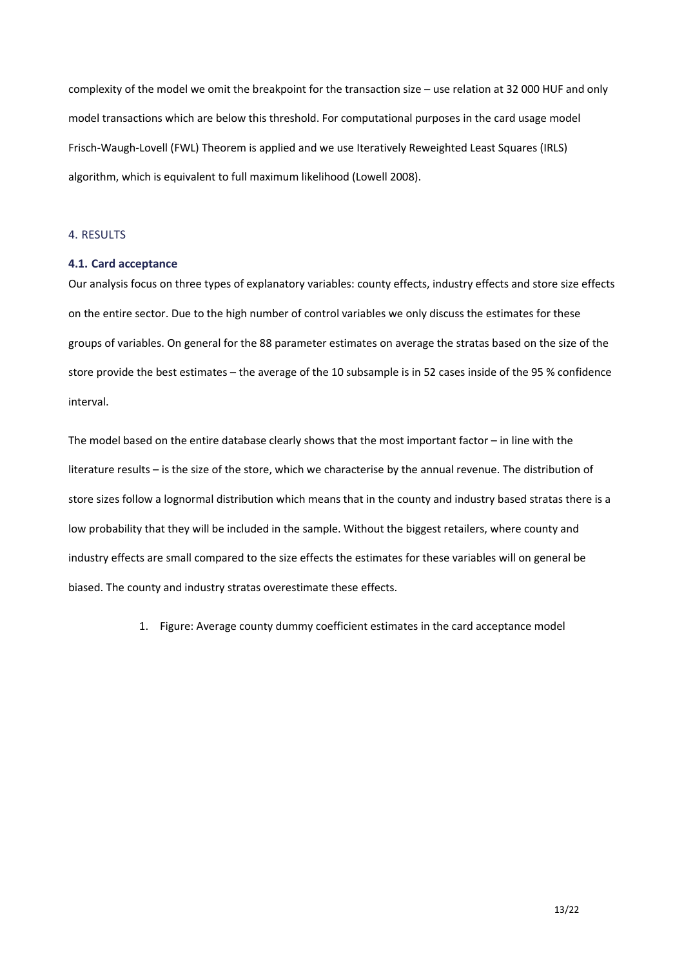complexity of the model we omit the breakpoint for the transaction size – use relation at 32 000 HUF and only model transactions which are below this threshold. For computational purposes in the card usage model Frisch-Waugh-Lovell (FWL) Theorem is applied and we use Iteratively Reweighted Least Squares (IRLS) algorithm, which is equivalent to full maximum likelihood (Lowell 2008).

## 4. RESULTS

## **4.1. Card acceptance**

Our analysis focus on three types of explanatory variables: county effects, industry effects and store size effects on the entire sector. Due to the high number of control variables we only discuss the estimates for these groups of variables. On general for the 88 parameter estimates on average the stratas based on the size of the store provide the best estimates – the average of the 10 subsample is in 52 cases inside of the 95 % confidence interval.

The model based on the entire database clearly shows that the most important factor – in line with the literature results – is the size of the store, which we characterise by the annual revenue. The distribution of store sizes follow a lognormal distribution which means that in the county and industry based stratas there is a low probability that they will be included in the sample. Without the biggest retailers, where county and industry effects are small compared to the size effects the estimates for these variables will on general be biased. The county and industry stratas overestimate these effects.

1. Figure: Average county dummy coefficient estimates in the card acceptance model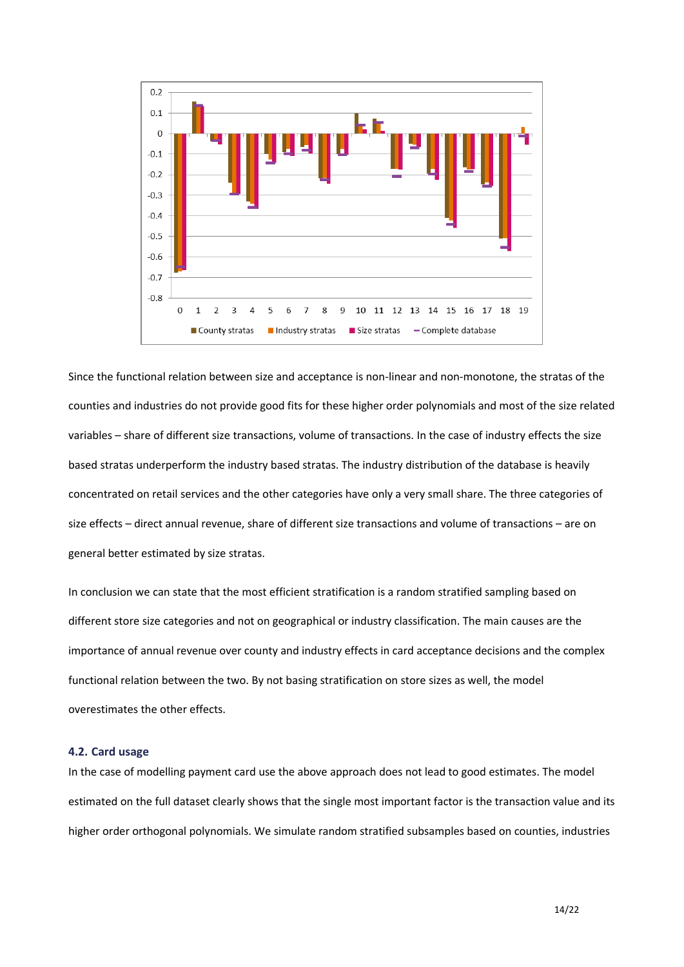

Since the functional relation between size and acceptance is non-linear and non-monotone, the stratas of the counties and industries do not provide good fits for these higher order polynomials and most of the size related variables – share of different size transactions, volume of transactions. In the case of industry effects the size based stratas underperform the industry based stratas. The industry distribution of the database is heavily concentrated on retail services and the other categories have only a very small share. The three categories of size effects – direct annual revenue, share of different size transactions and volume of transactions – are on general better estimated by size stratas.

In conclusion we can state that the most efficient stratification is a random stratified sampling based on different store size categories and not on geographical or industry classification. The main causes are the importance of annual revenue over county and industry effects in card acceptance decisions and the complex functional relation between the two. By not basing stratification on store sizes as well, the model overestimates the other effects.

## **4.2. Card usage**

In the case of modelling payment card use the above approach does not lead to good estimates. The model estimated on the full dataset clearly shows that the single most important factor is the transaction value and its higher order orthogonal polynomials. We simulate random stratified subsamples based on counties, industries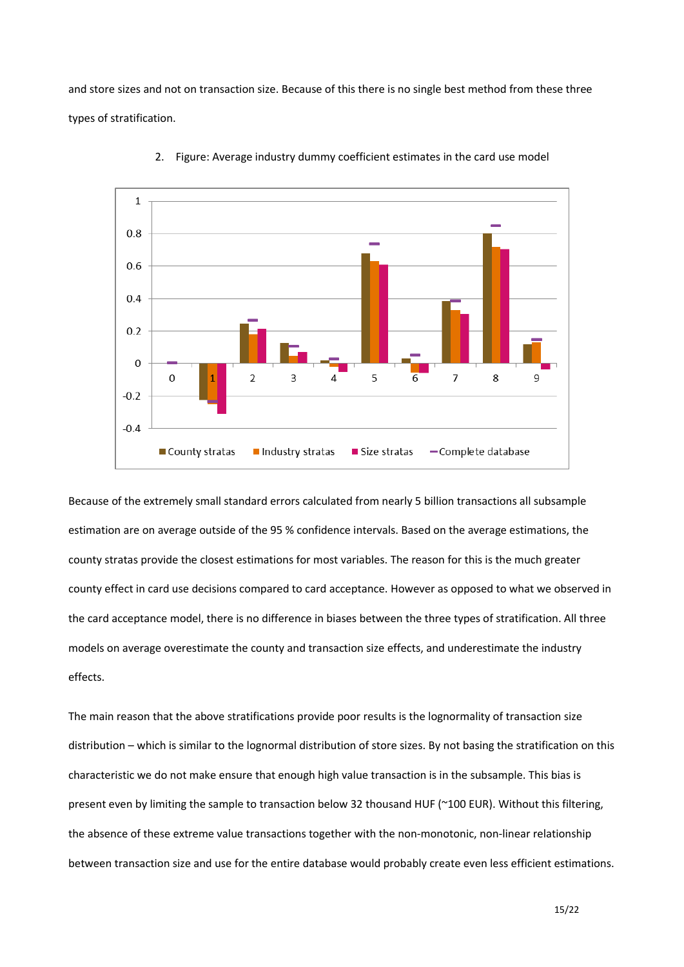and store sizes and not on transaction size. Because of this there is no single best method from these three types of stratification.



2. Figure: Average industry dummy coefficient estimates in the card use model

Because of the extremely small standard errors calculated from nearly 5 billion transactions all subsample estimation are on average outside of the 95 % confidence intervals. Based on the average estimations, the county stratas provide the closest estimations for most variables. The reason for this is the much greater county effect in card use decisions compared to card acceptance. However as opposed to what we observed in the card acceptance model, there is no difference in biases between the three types of stratification. All three models on average overestimate the county and transaction size effects, and underestimate the industry effects.

The main reason that the above stratifications provide poor results is the lognormality of transaction size distribution – which is similar to the lognormal distribution of store sizes. By not basing the stratification on this characteristic we do not make ensure that enough high value transaction is in the subsample. This bias is present even by limiting the sample to transaction below 32 thousand HUF (~100 EUR). Without this filtering, the absence of these extreme value transactions together with the non-monotonic, non-linear relationship between transaction size and use for the entire database would probably create even less efficient estimations.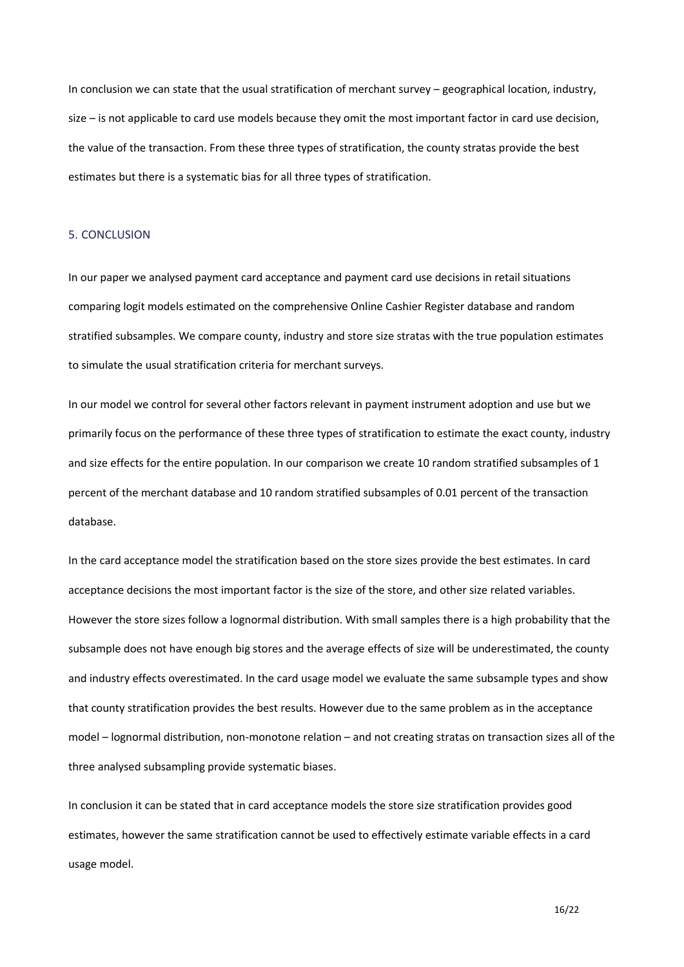In conclusion we can state that the usual stratification of merchant survey – geographical location, industry, size – is not applicable to card use models because they omit the most important factor in card use decision, the value of the transaction. From these three types of stratification, the county stratas provide the best estimates but there is a systematic bias for all three types of stratification.

### 5. CONCLUSION

In our paper we analysed payment card acceptance and payment card use decisions in retail situations comparing logit models estimated on the comprehensive Online Cashier Register database and random stratified subsamples. We compare county, industry and store size stratas with the true population estimates to simulate the usual stratification criteria for merchant surveys.

In our model we control for several other factors relevant in payment instrument adoption and use but we primarily focus on the performance of these three types of stratification to estimate the exact county, industry and size effects for the entire population. In our comparison we create 10 random stratified subsamples of 1 percent of the merchant database and 10 random stratified subsamples of 0.01 percent of the transaction database.

In the card acceptance model the stratification based on the store sizes provide the best estimates. In card acceptance decisions the most important factor is the size of the store, and other size related variables. However the store sizes follow a lognormal distribution. With small samples there is a high probability that the subsample does not have enough big stores and the average effects of size will be underestimated, the county and industry effects overestimated. In the card usage model we evaluate the same subsample types and show that county stratification provides the best results. However due to the same problem as in the acceptance model – lognormal distribution, non-monotone relation – and not creating stratas on transaction sizes all of the three analysed subsampling provide systematic biases.

In conclusion it can be stated that in card acceptance models the store size stratification provides good estimates, however the same stratification cannot be used to effectively estimate variable effects in a card usage model.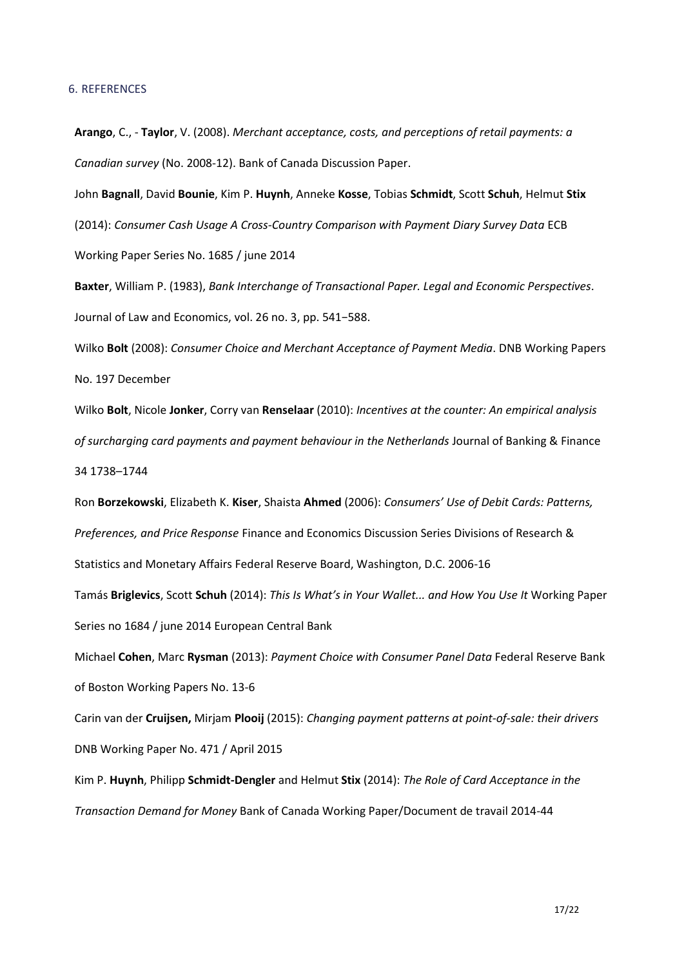## 6. REFERENCES

**Arango**, C., - **Taylor**, V. (2008). *Merchant acceptance, costs, and perceptions of retail payments: a Canadian survey* (No. 2008-12). Bank of Canada Discussion Paper.

John **Bagnall**, David **Bounie**, Kim P. **Huynh**, Anneke **Kosse**, Tobias **Schmidt**, Scott **Schuh**, Helmut **Stix** (2014): *Consumer Cash Usage A Cross-Country Comparison with Payment Diary Survey Data* ECB Working Paper Series No. 1685 / june 2014

**Baxter**, William P. (1983), *Bank Interchange of Transactional Paper. Legal and Economic Perspectives*. Journal of Law and Economics, vol. 26 no. 3, pp. 541−588.

Wilko **Bolt** (2008): *Consumer Choice and Merchant Acceptance of Payment Media*. DNB Working Papers No. 197 December

Wilko **Bolt**, Nicole **Jonker**, Corry van **Renselaar** (2010): *Incentives at the counter: An empirical analysis of surcharging card payments and payment behaviour in the Netherlands* Journal of Banking & Finance 34 1738–1744

Ron **Borzekowski**, Elizabeth K. **Kiser**, Shaista **Ahmed** (2006): *Consumers' Use of Debit Cards: Patterns, Preferences, and Price Response* Finance and Economics Discussion Series Divisions of Research & Statistics and Monetary Affairs Federal Reserve Board, Washington, D.C. 2006-16

Tamás **Briglevics**, Scott **Schuh** (2014): *This Is What's in Your Wallet... and How You Use It* Working Paper Series no 1684 / june 2014 European Central Bank

Michael **Cohen**, Marc **Rysman** (2013): *Payment Choice with Consumer Panel Data* Federal Reserve Bank of Boston Working Papers No. 13-6

Carin van der **Cruijsen,** Mirjam **Plooij** (2015): *Changing payment patterns at point-of-sale: their drivers*  DNB Working Paper No. 471 / April 2015

Kim P. **Huynh**, Philipp **Schmidt-Dengler** and Helmut **Stix** (2014): *The Role of Card Acceptance in the Transaction Demand for Money* Bank of Canada Working Paper/Document de travail 2014-44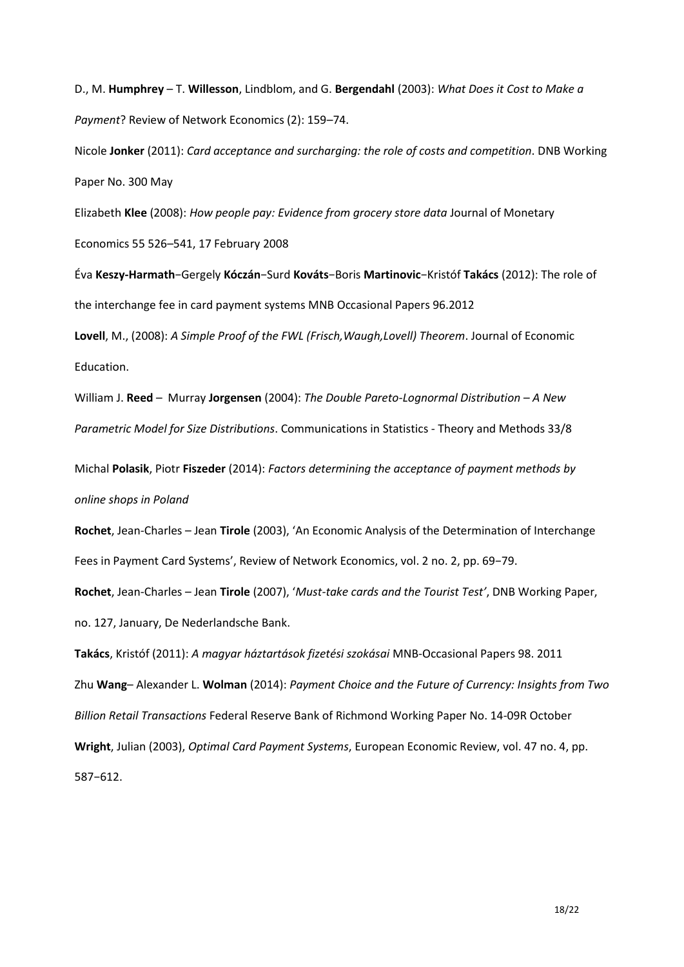D., M. **Humphrey** – T. **Willesson**, Lindblom, and G. **Bergendahl** (2003): *What Does it Cost to Make a Payment*? Review of Network Economics (2): 159–74.

Nicole **Jonker** (2011): *Card acceptance and surcharging: the role of costs and competition*. DNB Working Paper No. 300 May

Elizabeth **Klee** (2008): *How people pay: Evidence from grocery store data* Journal of Monetary Economics 55 526–541, 17 February 2008

Éva **Keszy-Harmath**−Gergely **Kóczán**−Surd **Kováts**−Boris **Martinovic**−Kristóf **Takács** (2012): The role of the interchange fee in card payment systems MNB Occasional Papers 96.2012

**Lovell**, M., (2008): *A Simple Proof of the FWL (Frisch,Waugh,Lovell) Theorem*. Journal of Economic Education.

William J. **Reed** – Murray **Jorgensen** (2004): *The Double Pareto-Lognormal Distribution – A New Parametric Model for Size Distributions*. Communications in Statistics - Theory and Methods 33/8

Michal **Polasik**, Piotr **Fiszeder** (2014): *Factors determining the acceptance of payment methods by online shops in Poland*

**Rochet**, Jean-Charles – Jean **Tirole** (2003), 'An Economic Analysis of the Determination of Interchange Fees in Payment Card Systems', Review of Network Economics, vol. 2 no. 2, pp. 69−79. **Rochet**, Jean-Charles – Jean **Tirole** (2007), '*Must-take cards and the Tourist Test'*, DNB Working Paper, no. 127, January, De Nederlandsche Bank.

**Takács**, Kristóf (2011): *A magyar háztartások fizetési szokásai* MNB-Occasional Papers 98. 2011 Zhu **Wang**– Alexander L. **Wolman** (2014): *Payment Choice and the Future of Currency: Insights from Two Billion Retail Transactions* Federal Reserve Bank of Richmond Working Paper No. 14-09R October **Wright**, Julian (2003), *Optimal Card Payment Systems*, European Economic Review, vol. 47 no. 4, pp. 587−612.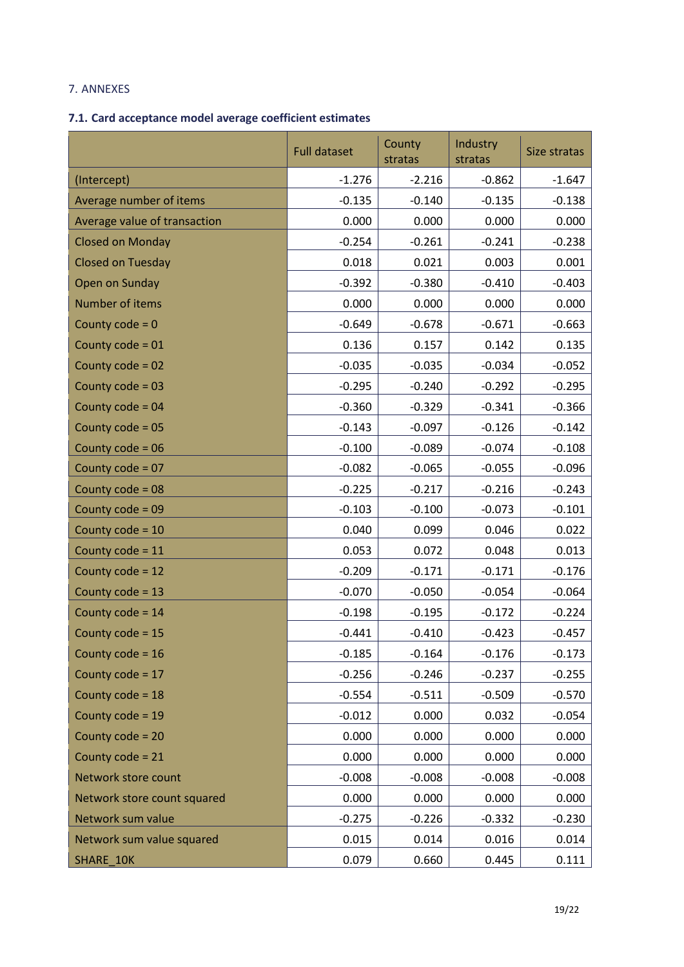# 7. ANNEXES

## **7.1. Card acceptance model average coefficient estimates**

|                              | <b>Full dataset</b> | County<br>stratas | Industry<br>stratas | Size stratas |
|------------------------------|---------------------|-------------------|---------------------|--------------|
| (Intercept)                  | $-1.276$            | $-2.216$          | $-0.862$            | $-1.647$     |
| Average number of items      | $-0.135$            | $-0.140$          | $-0.135$            | $-0.138$     |
| Average value of transaction | 0.000               | 0.000             | 0.000               | 0.000        |
| <b>Closed on Monday</b>      | $-0.254$            | $-0.261$          | $-0.241$            | $-0.238$     |
| <b>Closed on Tuesday</b>     | 0.018               | 0.021             | 0.003               | 0.001        |
| Open on Sunday               | $-0.392$            | $-0.380$          | $-0.410$            | $-0.403$     |
| Number of items              | 0.000               | 0.000             | 0.000               | 0.000        |
| County $code = 0$            | $-0.649$            | $-0.678$          | $-0.671$            | $-0.663$     |
| County code = 01             | 0.136               | 0.157             | 0.142               | 0.135        |
| County code = 02             | $-0.035$            | $-0.035$          | $-0.034$            | $-0.052$     |
| County code = 03             | $-0.295$            | $-0.240$          | $-0.292$            | $-0.295$     |
| County code = $04$           | $-0.360$            | $-0.329$          | $-0.341$            | $-0.366$     |
| County code = 05             | $-0.143$            | $-0.097$          | $-0.126$            | $-0.142$     |
| County $code = 06$           | $-0.100$            | $-0.089$          | $-0.074$            | $-0.108$     |
| County code = 07             | $-0.082$            | $-0.065$          | $-0.055$            | $-0.096$     |
| County code = 08             | $-0.225$            | $-0.217$          | $-0.216$            | $-0.243$     |
| County code = 09             | $-0.103$            | $-0.100$          | $-0.073$            | $-0.101$     |
| County code = 10             | 0.040               | 0.099             | 0.046               | 0.022        |
| County code = 11             | 0.053               | 0.072             | 0.048               | 0.013        |
| County code = 12             | $-0.209$            | $-0.171$          | $-0.171$            | $-0.176$     |
| County code = 13             | $-0.070$            | $-0.050$          | $-0.054$            | $-0.064$     |
| County code = 14             | $-0.198$            | $-0.195$          | $-0.172$            | $-0.224$     |
| County code = 15             | $-0.441$            | $-0.410$          | $-0.423$            | $-0.457$     |
| County code = 16             | $-0.185$            | $-0.164$          | $-0.176$            | $-0.173$     |
| County code = 17             | $-0.256$            | $-0.246$          | $-0.237$            | $-0.255$     |
| County code = 18             | $-0.554$            | $-0.511$          | $-0.509$            | $-0.570$     |
| County code = 19             | $-0.012$            | 0.000             | 0.032               | $-0.054$     |
| County code = 20             | 0.000               | 0.000             | 0.000               | 0.000        |
| County $code = 21$           | 0.000               | 0.000             | 0.000               | 0.000        |
| Network store count          | $-0.008$            | $-0.008$          | $-0.008$            | $-0.008$     |
| Network store count squared  | 0.000               | 0.000             | 0.000               | 0.000        |
| Network sum value            | $-0.275$            | $-0.226$          | $-0.332$            | $-0.230$     |
| Network sum value squared    | 0.015               | 0.014             | 0.016               | 0.014        |
| SHARE_10K                    | 0.079               | 0.660             | 0.445               | 0.111        |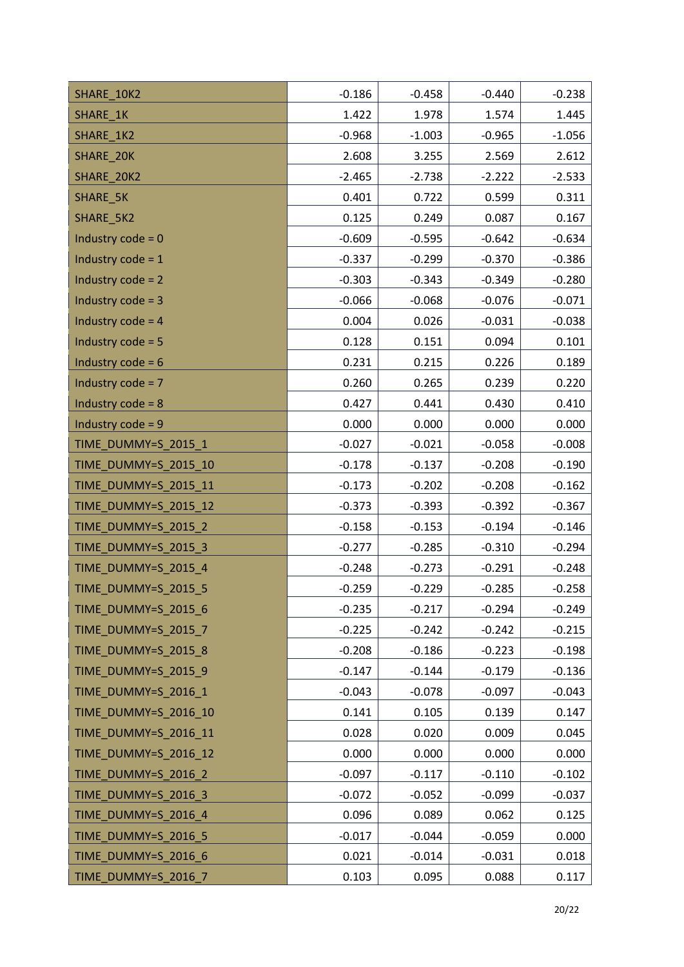| SHARE_10K2           | $-0.186$ | $-0.458$ | $-0.440$ | $-0.238$ |
|----------------------|----------|----------|----------|----------|
| SHARE_1K             | 1.422    | 1.978    | 1.574    | 1.445    |
| SHARE 1K2            | $-0.968$ | $-1.003$ | $-0.965$ | $-1.056$ |
| <b>SHARE 20K</b>     | 2.608    | 3.255    | 2.569    | 2.612    |
| SHARE 20K2           | $-2.465$ | $-2.738$ | $-2.222$ | $-2.533$ |
| SHARE_5K             | 0.401    | 0.722    | 0.599    | 0.311    |
| SHARE 5K2            | 0.125    | 0.249    | 0.087    | 0.167    |
| Industry $code = 0$  | $-0.609$ | $-0.595$ | $-0.642$ | $-0.634$ |
| Industry $code = 1$  | $-0.337$ | $-0.299$ | $-0.370$ | $-0.386$ |
| Industry $code = 2$  | $-0.303$ | $-0.343$ | $-0.349$ | $-0.280$ |
| Industry $code = 3$  | $-0.066$ | $-0.068$ | $-0.076$ | $-0.071$ |
| Industry $code = 4$  | 0.004    | 0.026    | $-0.031$ | $-0.038$ |
| Industry $code = 5$  | 0.128    | 0.151    | 0.094    | 0.101    |
| Industry $code = 6$  | 0.231    | 0.215    | 0.226    | 0.189    |
| Industry code = $7$  | 0.260    | 0.265    | 0.239    | 0.220    |
| Industry $code = 8$  | 0.427    | 0.441    | 0.430    | 0.410    |
| Industry $code = 9$  | 0.000    | 0.000    | 0.000    | 0.000    |
| TIME_DUMMY=S_2015_1  | $-0.027$ | $-0.021$ | $-0.058$ | $-0.008$ |
| TIME_DUMMY=S_2015_10 | $-0.178$ | $-0.137$ | $-0.208$ | $-0.190$ |
| TIME_DUMMY=S_2015_11 | $-0.173$ | $-0.202$ | $-0.208$ | $-0.162$ |
| TIME_DUMMY=S_2015_12 | $-0.373$ | $-0.393$ | $-0.392$ | $-0.367$ |
| TIME_DUMMY=S_2015_2  | $-0.158$ | $-0.153$ | $-0.194$ | $-0.146$ |
| TIME_DUMMY=S_2015_3  | $-0.277$ | $-0.285$ | $-0.310$ | $-0.294$ |
| TIME_DUMMY=S_2015_4  | $-0.248$ | $-0.273$ | $-0.291$ | $-0.248$ |
| TIME DUMMY=S 2015 5  | $-0.259$ | $-0.229$ | $-0.285$ | $-0.258$ |
| TIME DUMMY=S 2015 6  | $-0.235$ | $-0.217$ | $-0.294$ | $-0.249$ |
| TIME_DUMMY=S_2015_7  | $-0.225$ | $-0.242$ | $-0.242$ | $-0.215$ |
| TIME_DUMMY=S_2015_8  | $-0.208$ | $-0.186$ | $-0.223$ | $-0.198$ |
| TIME_DUMMY=S_2015_9  | $-0.147$ | $-0.144$ | $-0.179$ | $-0.136$ |
| TIME_DUMMY=S_2016_1  | $-0.043$ | $-0.078$ | $-0.097$ | $-0.043$ |
| TIME_DUMMY=S_2016_10 | 0.141    | 0.105    | 0.139    | 0.147    |
| TIME_DUMMY=S_2016_11 | 0.028    | 0.020    | 0.009    | 0.045    |
| TIME_DUMMY=S_2016_12 | 0.000    | 0.000    | 0.000    | 0.000    |
| TIME_DUMMY=S_2016_2  | $-0.097$ | $-0.117$ | $-0.110$ | $-0.102$ |
| TIME_DUMMY=S_2016_3  | $-0.072$ | $-0.052$ | $-0.099$ | $-0.037$ |
| TIME_DUMMY=S_2016_4  | 0.096    | 0.089    | 0.062    | 0.125    |
| TIME DUMMY=S_2016_5  | $-0.017$ | $-0.044$ | $-0.059$ | 0.000    |
| TIME DUMMY=S 2016 6  | 0.021    | $-0.014$ | $-0.031$ | 0.018    |
| TIME_DUMMY=S_2016_7  | 0.103    | 0.095    | 0.088    | 0.117    |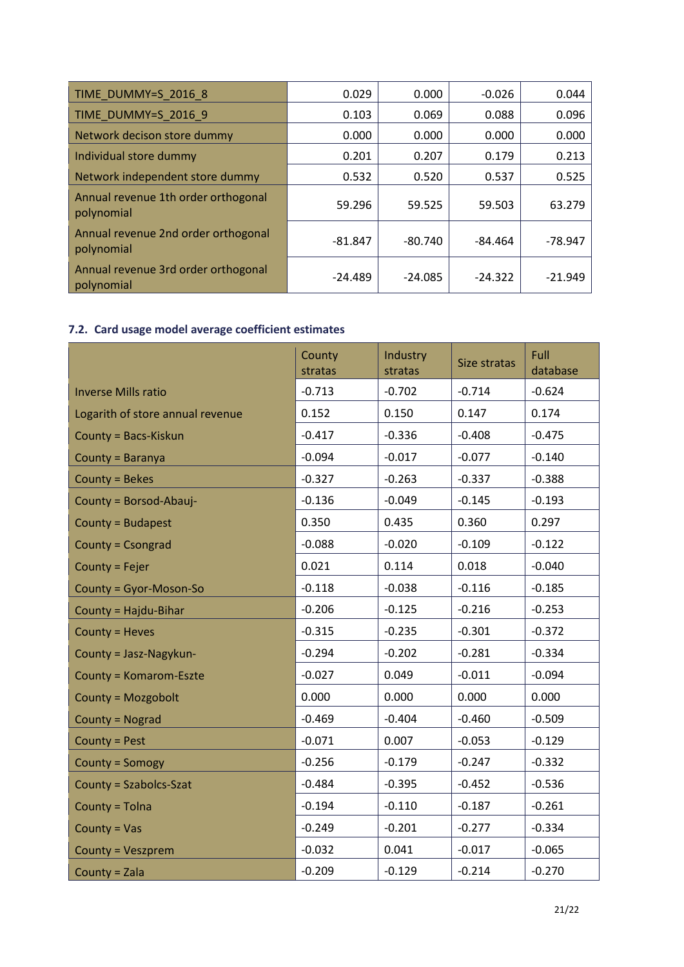| TIME DUMMY=S 2016 8                               | 0.029     | 0.000     | $-0.026$  | 0.044     |
|---------------------------------------------------|-----------|-----------|-----------|-----------|
| TIME DUMMY=S 2016 9                               | 0.103     | 0.069     | 0.088     | 0.096     |
| Network decison store dummy                       | 0.000     | 0.000     | 0.000     | 0.000     |
| Individual store dummy                            | 0.201     | 0.207     | 0.179     | 0.213     |
| Network independent store dummy                   | 0.532     | 0.520     | 0.537     | 0.525     |
| Annual revenue 1th order orthogonal<br>polynomial | 59.296    | 59.525    | 59.503    | 63.279    |
| Annual revenue 2nd order orthogonal<br>polynomial | $-81.847$ | $-80.740$ | -84.464   | $-78.947$ |
| Annual revenue 3rd order orthogonal<br>polynomial | $-24.489$ | $-24.085$ | $-24.322$ | $-21.949$ |

# **7.2. Card usage model average coefficient estimates**

|                                  | County<br>stratas | Industry<br>stratas | Size stratas | Full<br>database |
|----------------------------------|-------------------|---------------------|--------------|------------------|
| <b>Inverse Mills ratio</b>       | $-0.713$          | $-0.702$            | $-0.714$     | $-0.624$         |
| Logarith of store annual revenue | 0.152             | 0.150               | 0.147        | 0.174            |
| County = Bacs-Kiskun             | $-0.417$          | $-0.336$            | $-0.408$     | $-0.475$         |
| County = Baranya                 | $-0.094$          | $-0.017$            | $-0.077$     | $-0.140$         |
| County = Bekes                   | $-0.327$          | $-0.263$            | $-0.337$     | $-0.388$         |
| County = Borsod-Abauj-           | $-0.136$          | $-0.049$            | $-0.145$     | $-0.193$         |
| County = Budapest                | 0.350             | 0.435               | 0.360        | 0.297            |
| County = Csongrad                | $-0.088$          | $-0.020$            | $-0.109$     | $-0.122$         |
| County = Fejer                   | 0.021             | 0.114               | 0.018        | $-0.040$         |
| County = Gyor-Moson-So           | $-0.118$          | $-0.038$            | $-0.116$     | $-0.185$         |
| County = Hajdu-Bihar             | $-0.206$          | $-0.125$            | $-0.216$     | $-0.253$         |
| County = Heves                   | $-0.315$          | $-0.235$            | $-0.301$     | $-0.372$         |
| County = Jasz-Nagykun-           | $-0.294$          | $-0.202$            | $-0.281$     | $-0.334$         |
| <b>County = Komarom-Eszte</b>    | $-0.027$          | 0.049               | $-0.011$     | $-0.094$         |
| County = Mozgobolt               | 0.000             | 0.000               | 0.000        | 0.000            |
| County = Nograd                  | $-0.469$          | $-0.404$            | $-0.460$     | $-0.509$         |
| County = Pest                    | $-0.071$          | 0.007               | $-0.053$     | $-0.129$         |
| County = Somogy                  | $-0.256$          | $-0.179$            | $-0.247$     | $-0.332$         |
| County = Szabolcs-Szat           | $-0.484$          | $-0.395$            | $-0.452$     | $-0.536$         |
| County = Tolna                   | $-0.194$          | $-0.110$            | $-0.187$     | $-0.261$         |
| County = $Vas$                   | $-0.249$          | $-0.201$            | $-0.277$     | $-0.334$         |
| <b>County = Veszprem</b>         | $-0.032$          | 0.041               | $-0.017$     | $-0.065$         |
| County = Zala                    | $-0.209$          | $-0.129$            | $-0.214$     | $-0.270$         |